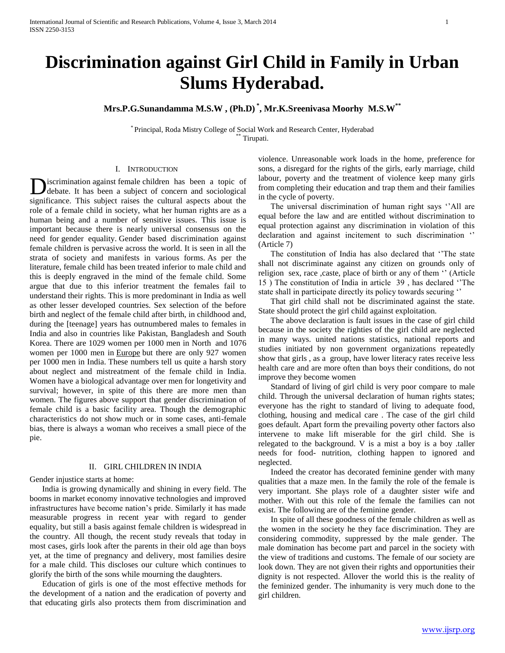# **Discrimination against Girl Child in Family in Urban Slums Hyderabad.**

**Mrs.P.G.Sunandamma M.S.W , (Ph.D) \* , Mr.K.Sreenivasa Moorhy M.S.W\*\***

\* Principal, Roda Mistry College of Social Work and Research Center, Hyderabad Tirupati.

## I. INTRODUCTION

iscrimination against female children has been a topic of debate. It has been a subject of concern and sociological **Independent** children has been a topic of debate. It has been a subject of concern and sociological significance. This subject raises the cultural aspects about the role of a female child in society, what her human rights are as a human being and a number of sensitive issues. This issue is important because there is nearly universal consensus on the need for gender equality. Gender based discrimination against female children is pervasive across the world. It is seen in all the strata of society and manifests in various forms. As per the literature, female child has been treated inferior to male child and this is deeply engraved in the mind of the female child. Some argue that due to this inferior treatment the females fail to understand their rights. This is more predominant in India as well as other lesser developed countries. Sex selection of the before birth and neglect of the female child after birth, in childhood and, during the [teenage] years has outnumbered males to females in India and also in countries like Pakistan, Bangladesh and South Korea. There are 1029 women per 1000 men in North and 1076 women per 1000 men in Europe but there are only 927 women per 1000 men in India. These numbers tell us quite a harsh story about neglect and mistreatment of the female child in India. Women have a biological advantage over men for longetivity and survival; however, in spite of this there are more men than women. The figures above support that gender discrimination of female child is a basic facility area. Though the demographic characteristics do not show much or in some cases, anti-female bias, there is always a woman who receives a small piece of the pie.

## II. GIRL CHILDREN IN INDIA

Gender injustice starts at home:

 India is growing dynamically and shining in every field. The booms in market economy innovative technologies and improved infrastructures have become nation's pride. Similarly it has made measurable progress in recent year with regard to gender equality, but still a basis against female children is widespread in the country. All though, the recent study reveals that today in most cases, girls look after the parents in their old age than boys yet, at the time of pregnancy and delivery, most families desire for a male child. This discloses our culture which continues to glorify the birth of the sons while mourning the daughters.

 Education of girls is one of the most effective methods for the development of a nation and the eradication of poverty and that educating girls also protects them from discrimination and violence. Unreasonable work loads in the home, preference for sons, a disregard for the rights of the girls, early marriage, child labour, poverty and the treatment of violence keep many girls from completing their education and trap them and their families in the cycle of poverty.

 The universal discrimination of human right says ''All are equal before the law and are entitled without discrimination to equal protection against any discrimination in violation of this declaration and against incitement to such discrimination '' (Article 7)

 The constitution of India has also declared that ''The state shall not discriminate against any citizen on grounds only of religion sex, race ,caste, place of birth or any of them '' (Article 15 ) The constitution of India in article 39 , has declared ''The state shall in participate directly its policy towards securing ''

 That girl child shall not be discriminated against the state. State should protect the girl child against exploitation.

 The above declaration is fault issues in the case of girl child because in the society the righties of the girl child are neglected in many ways. united nations statistics, national reports and studies initiated by non government organizations repeatedly show that girls , as a group, have lower literacy rates receive less health care and are more often than boys their conditions, do not improve they become women

 Standard of living of girl child is very poor compare to male child. Through the universal declaration of human rights states; everyone has the right to standard of living to adequate food, clothing, housing and medical care . The case of the girl child goes default. Apart form the prevailing poverty other factors also intervene to make lift miserable for the girl child. She is relegated to the background. V is a mist a boy is a boy .taller needs for food- nutrition, clothing happen to ignored and neglected.

 Indeed the creator has decorated feminine gender with many qualities that a maze men. In the family the role of the female is very important. She plays role of a daughter sister wife and mother. With out this role of the female the families can not exist. The following are of the feminine gender.

 In spite of all these goodness of the female children as well as the women in the society he they face discrimination. They are considering commodity, suppressed by the male gender. The male domination has become part and parcel in the society with the view of traditions and customs. The female of our society are look down. They are not given their rights and opportunities their dignity is not respected. Allover the world this is the reality of the feminized gender. The inhumanity is very much done to the girl children.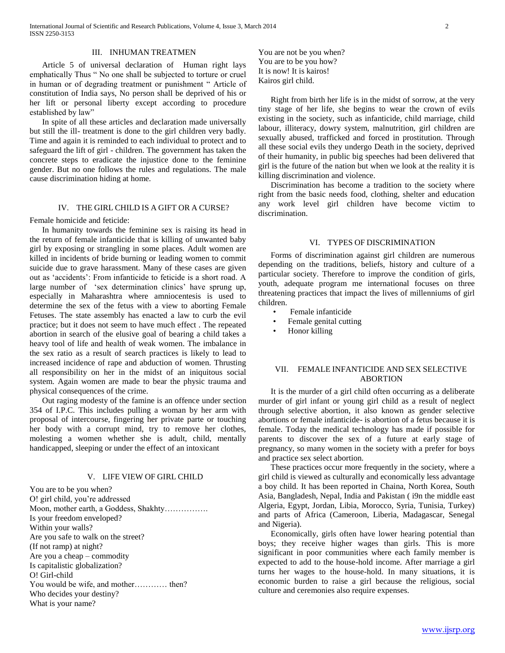## III. INHUMAN TREATMEN

 Article 5 of universal declaration of Human right lays emphatically Thus " No one shall be subjected to torture or cruel in human or of degrading treatment or punishment " Article of constitution of India says, No person shall be deprived of his or her lift or personal liberty except according to procedure established by law"

 In spite of all these articles and declaration made universally but still the ill- treatment is done to the girl children very badly. Time and again it is reminded to each individual to protect and to safeguard the lift of girl - children. The government has taken the concrete steps to eradicate the injustice done to the feminine gender. But no one follows the rules and regulations. The male cause discrimination hiding at home.

## IV. THE GIRL CHILD IS A GIFT OR A CURSE?

Female homicide and feticide:

 In humanity towards the feminine sex is raising its head in the return of female infanticide that is killing of unwanted baby girl by exposing or strangling in some places. Adult women are killed in incidents of bride burning or leading women to commit suicide due to grave harassment. Many of these cases are given out as 'accidents': From infanticide to feticide is a short road. A large number of 'sex determination clinics' have sprung up, especially in Maharashtra where amniocentesis is used to determine the sex of the fetus with a view to aborting Female Fetuses. The state assembly has enacted a law to curb the evil practice; but it does not seem to have much effect . The repeated abortion in search of the elusive goal of bearing a child takes a heavy tool of life and health of weak women. The imbalance in the sex ratio as a result of search practices is likely to lead to increased incidence of rape and abduction of women. Thrusting all responsibility on her in the midst of an iniquitous social system. Again women are made to bear the physic trauma and physical consequences of the crime.

 Out raging modesty of the famine is an offence under section 354 of I.P.C. This includes pulling a woman by her arm with proposal of intercourse, fingering her private parte or touching her body with a corrupt mind, try to remove her clothes, molesting a women whether she is adult, child, mentally handicapped, sleeping or under the effect of an intoxicant

## V. LIFE VIEW OF GIRL CHILD

You are to be you when? O! girl child, you're addressed Moon, mother earth, a Goddess, Shakhty……………. Is your freedom enveloped? Within your walls? Are you safe to walk on the street? (If not ramp) at night? Are you a cheap – commodity Is capitalistic globalization? O! Girl-child You would be wife, and mother………… then? Who decides your destiny? What is your name?

You are not be you when? You are to be you how? It is now! It is kairos! Kairos girl child.

 Right from birth her life is in the midst of sorrow, at the very tiny stage of her life, she begins to wear the crown of evils existing in the society, such as infanticide, child marriage, child labour, illiteracy, dowry system, malnutrition, girl children are sexually abused, trafficked and forced in prostitution. Through all these social evils they undergo Death in the society, deprived of their humanity, in public big speeches had been delivered that girl is the future of the nation but when we look at the reality it is killing discrimination and violence.

 Discrimination has become a tradition to the society where right from the basic needs food, clothing, shelter and education any work level girl children have become victim to discrimination.

#### VI. TYPES OF DISCRIMINATION

 Forms of discrimination against girl children are numerous depending on the traditions, beliefs, history and culture of a particular society. Therefore to improve the condition of girls, youth, adequate program me international focuses on three threatening practices that impact the lives of millenniums of girl children.

- Female infanticide
- Female genital cutting
- Honor killing

## VII. FEMALE INFANTICIDE AND SEX SELECTIVE ABORTION

 It is the murder of a girl child often occurring as a deliberate murder of girl infant or young girl child as a result of neglect through selective abortion, it also known as gender selective abortions or female infanticide- is abortion of a fetus because it is female. Today the medical technology has made if possible for parents to discover the sex of a future at early stage of pregnancy, so many women in the society with a prefer for boys and practice sex select abortion.

 These practices occur more frequently in the society, where a girl child is viewed as culturally and economically less advantage a boy child. It has been reported in Chaina, North Korea, South Asia, Bangladesh, Nepal, India and Pakistan ( i9n the middle east Algeria, Egypt, Jordan, Libia, Morocco, Syria, Tunisia, Turkey) and parts of Africa (Cameroon, Liberia, Madagascar, Senegal and Nigeria).

 Economically, girls often have lower hearing potential than boys; they receive higher wages than girls. This is more significant in poor communities where each family member is expected to add to the house-hold income. After marriage a girl turns her wages to the house-hold. In many situations, it is economic burden to raise a girl because the religious, social culture and ceremonies also require expenses.